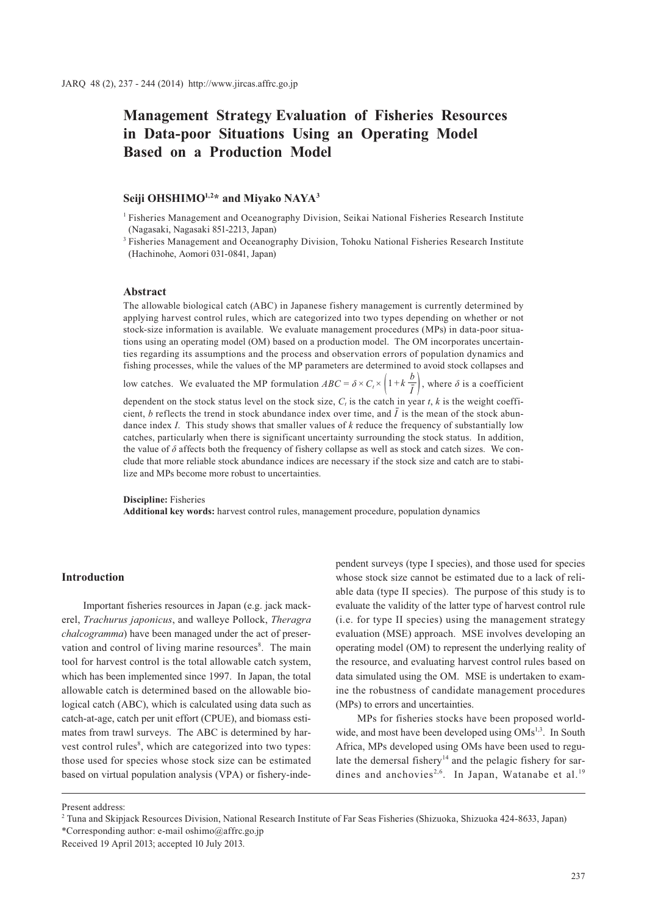# **Management Strategy Evaluation of Fisheries Resources in Data-poor Situations Using an Operating Model Based on a Production Model**

## Seiji OHSHIMO<sup>1,2\*</sup> and Miyako NAYA<sup>3</sup>

1 Fisheries Management and Oceanography Division, Seikai National Fisheries Research Institute (Nagasaki, Nagasaki 851-2213, Japan)

<sup>3</sup> Fisheries Management and Oceanography Division, Tohoku National Fisheries Research Institute (Hachinohe, Aomori 031-0841, Japan)

#### **Abstract**

The allowable biological catch (ABC) in Japanese fishery management is currently determined by applying harvest control rules, which are categorized into two types depending on whether or not stock-size information is available. We evaluate management procedures (MPs) in data-poor situations using an operating model (OM) based on a production model. The OM incorporates uncertainties regarding its assumptions and the process and observation errors of population dynamics and fishing processes, while the values of the MP parameters are determined to avoid stock collapses and

low catches. We evaluated the MP formulation  $ABC = \delta \times C_i \times \left(1 + k\frac{b}{\delta}\right)$  $\left| \frac{\overline{\mathbf{i}}}{\mathbf{i}} \right|$ , where  $\delta$  is a coefficient

dependent on the stock status level on the stock size,  $C_t$  is the catch in year *t*, *k* is the weight coefficient, *b* reflects the trend in stock abundance index over time, and  $\overline{I}$  is the mean of the stock abundance index *I*. This study shows that smaller values of *k* reduce the frequency of substantially low catches, particularly when there is significant uncertainty surrounding the stock status. In addition, the value of  $\delta$  affects both the frequency of fishery collapse as well as stock and catch sizes. We conclude that more reliable stock abundance indices are necessary if the stock size and catch are to stabilize and MPs become more robust to uncertainties.

#### **Discipline:** Fisheries

**Additional key words:** harvest control rules, management procedure, population dynamics

#### **Introduction**

Important fisheries resources in Japan (e.g. jack mackerel, *Trachurus japonicus*, and walleye Pollock, *Theragra chalcogramma*) have been managed under the act of preservation and control of living marine resources<sup>8</sup>. The main tool for harvest control is the total allowable catch system, which has been implemented since 1997. In Japan, the total allowable catch is determined based on the allowable biological catch (ABC), which is calculated using data such as catch-at-age, catch per unit effort (CPUE), and biomass estimates from trawl surveys. The ABC is determined by harvest control rules<sup>8</sup>, which are categorized into two types: those used for species whose stock size can be estimated based on virtual population analysis (VPA) or fishery-independent surveys (type I species), and those used for species whose stock size cannot be estimated due to a lack of reliable data (type II species). The purpose of this study is to evaluate the validity of the latter type of harvest control rule (i.e. for type II species) using the management strategy evaluation (MSE) approach. MSE involves developing an operating model (OM) to represent the underlying reality of the resource, and evaluating harvest control rules based on data simulated using the OM. MSE is undertaken to examine the robustness of candidate management procedures (MPs) to errors and uncertainties.

MPs for fisheries stocks have been proposed worldwide, and most have been developed using OMs<sup>1,3</sup>. In South Africa, MPs developed using OMs have been used to regulate the demersal fishery<sup>14</sup> and the pelagic fishery for sardines and anchovies<sup>2,6</sup>. In Japan, Watanabe et al.<sup>19</sup>

Present address:

<sup>2</sup> Tuna and Skipjack Resources Division, National Research Institute of Far Seas Fisheries (Shizuoka, Shizuoka 424-8633, Japan)

<sup>\*</sup>Corresponding author: e-mail oshimo@affrc.go.jp

Received 19 April 2013; accepted 10 July 2013.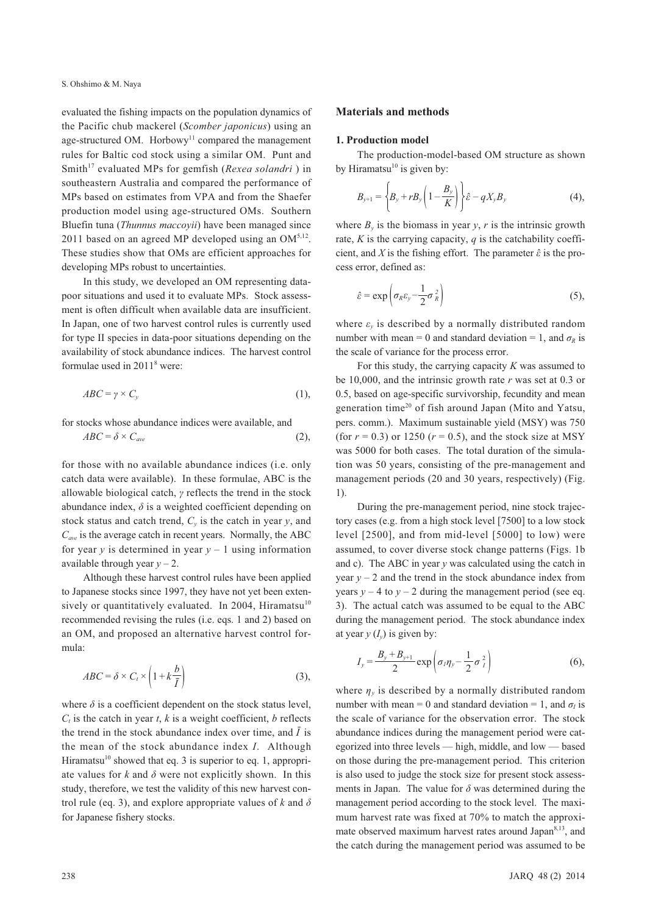evaluated the fishing impacts on the population dynamics of the Pacific chub mackerel (*Scomber japonicus*) using an age-structured OM. Horbowy<sup>11</sup> compared the management rules for Baltic cod stock using a similar OM. Punt and Smith<sup>17</sup> evaluated MPs for gemfish (*Rexea solandri*) in southeastern Australia and compared the performance of MPs based on estimates from VPA and from the Shaefer production model using age-structured OMs. Southern Bluefin tuna (*Thunnus maccoyii*) have been managed since 2011 based on an agreed MP developed using an  $OM^{5,12}$ . These studies show that OMs are efficient approaches for developing MPs robust to uncertainties.

In this study, we developed an OM representing datapoor situations and used it to evaluate MPs. Stock assessment is often difficult when available data are insufficient. In Japan, one of two harvest control rules is currently used for type II species in data-poor situations depending on the availability of stock abundance indices. The harvest control formulae used in 20118 were:

$$
ABC = \gamma \times C_{y} \tag{1}
$$

for stocks whose abundance indices were available, and  $ABC = \delta \times C_{ave}$  (2),

for those with no available abundance indices (i.e. only catch data were available). In these formulae, ABC is the allowable biological catch, *γ* reflects the trend in the stock abundance index,  $\delta$  is a weighted coefficient depending on stock status and catch trend,  $C_v$  is the catch in year *y*, and *Cave* is the average catch in recent years. Normally, the ABC for year  $y$  is determined in year  $y - 1$  using information available through year  $y - 2$ .

Although these harvest control rules have been applied to Japanese stocks since 1997, they have not yet been extensively or quantitatively evaluated. In 2004, Hiramatsu<sup>10</sup> recommended revising the rules (i.e. eqs. 1 and 2) based on an OM, and proposed an alternative harvest control formula:

$$
ABC = \delta \times C_t \times \left(1 + k\frac{b}{\bar{I}}\right) \tag{3}
$$

where  $\delta$  is a coefficient dependent on the stock status level,  $C_t$  is the catch in year *t*, *k* is a weight coefficient, *b* reflects the trend in the stock abundance index over time, and  $\bar{I}$  is the mean of the stock abundance index *I*. Although Hiramatsu<sup>10</sup> showed that eq. 3 is superior to eq. 1, appropriate values for  $k$  and  $\delta$  were not explicitly shown. In this study, therefore, we test the validity of this new harvest control rule (eq. 3), and explore appropriate values of *k* and *δ* for Japanese fishery stocks.

#### **Materials and methods**

#### **1. Production model**

The production-model-based OM structure as shown by Hiramatsu $^{10}$  is given by:

$$
B_{y+1} = \left\{ B_y + r B_y \left( 1 - \frac{B_y}{K} \right) \right\} \hat{\varepsilon} - q X_y B_y \tag{4}
$$

where  $B_{y}$  is the biomass in year  $y$ ,  $r$  is the intrinsic growth rate, *K* is the carrying capacity, *q* is the catchability coefficient, and *X* is the fishing effort. The parameter  $\hat{\varepsilon}$  is the process error, defined as:

$$
\hat{\varepsilon} = \exp\left(\sigma_R \varepsilon_y - \frac{1}{2} \sigma_R^2\right) \tag{5},
$$

where  $\varepsilon$ <sub>v</sub> is described by a normally distributed random number with mean = 0 and standard deviation = 1, and  $\sigma_R$  is the scale of variance for the process error.

For this study, the carrying capacity *K* was assumed to be 10,000, and the intrinsic growth rate *r* was set at 0.3 or 0.5, based on age-specific survivorship, fecundity and mean generation time<sup>20</sup> of fish around Japan (Mito and Yatsu, pers. comm.). Maximum sustainable yield (MSY) was 750 (for  $r = 0.3$ ) or 1250 ( $r = 0.5$ ), and the stock size at MSY was 5000 for both cases. The total duration of the simulation was 50 years, consisting of the pre-management and management periods (20 and 30 years, respectively) (Fig. 1).

During the pre-management period, nine stock trajectory cases (e.g. from a high stock level [7500] to a low stock level [2500], and from mid-level [5000] to low) were assumed, to cover diverse stock change patterns (Figs. 1b and c). The ABC in year *y* was calculated using the catch in year  $y - 2$  and the trend in the stock abundance index from years  $y - 4$  to  $y - 2$  during the management period (see eq. 3). The actual catch was assumed to be equal to the ABC during the management period. The stock abundance index at year  $y(I_v)$  is given by:

$$
I_{y} = \frac{B_{y} + B_{y+1}}{2} \exp\left(\sigma_{I} \eta_{y} - \frac{1}{2} \sigma_{I}^{2}\right)
$$
 (6),

where  $\eta_{\nu}$  is described by a normally distributed random number with mean = 0 and standard deviation = 1, and  $\sigma_l$  is the scale of variance for the observation error. The stock abundance indices during the management period were categorized into three levels — high, middle, and low — based on those during the pre-management period. This criterion is also used to judge the stock size for present stock assessments in Japan. The value for  $\delta$  was determined during the management period according to the stock level. The maximum harvest rate was fixed at 70% to match the approximate observed maximum harvest rates around Japan<sup>8,13</sup>, and the catch during the management period was assumed to be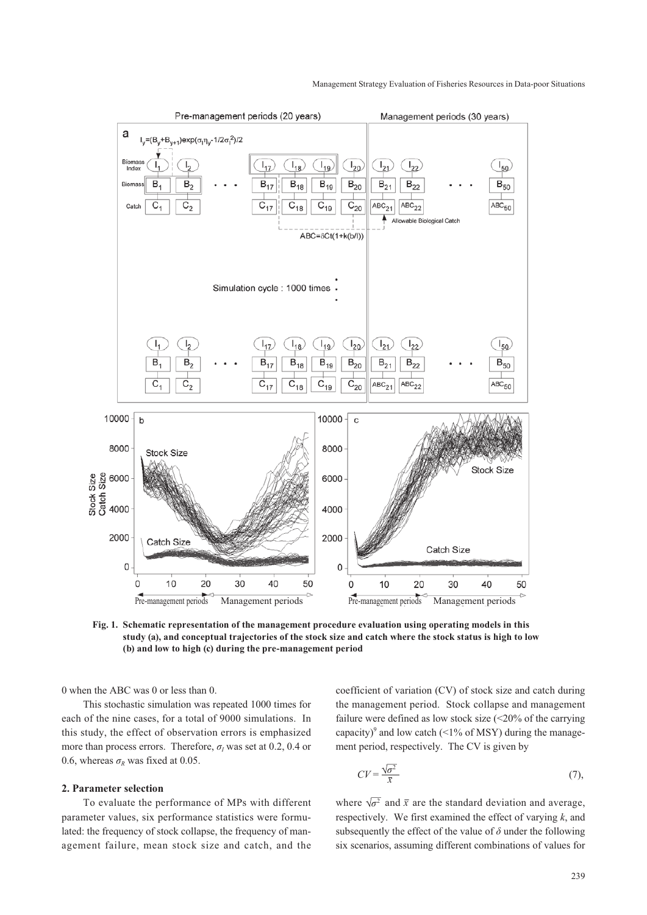

**Fig. 1. Schematic representation of the management procedure evaluation using operating models in this study (a), and conceptual trajectories of the stock size and catch where the stock status is high to low (b) and low to high (c) during the pre-management period**

0 when the ABC was 0 or less than 0.

This stochastic simulation was repeated 1000 times for each of the nine cases, for a total of 9000 simulations. In this study, the effect of observation errors is emphasized more than process errors. Therefore,  $\sigma$ <sub>I</sub> was set at 0.2, 0.4 or 0.6, whereas  $\sigma_R$  was fixed at 0.05.

#### **2. Parameter selection**

To evaluate the performance of MPs with different parameter values, six performance statistics were formulated: the frequency of stock collapse, the frequency of management failure, mean stock size and catch, and the

coefficient of variation (CV) of stock size and catch during the management period. Stock collapse and management failure were defined as low stock size (<20% of the carrying capacity)<sup>9</sup> and low catch (<1% of MSY) during the management period, respectively. The CV is given by

$$
CV = \frac{\sqrt{\sigma^2}}{\bar{x}}\tag{7}
$$

where  $\sqrt{\sigma^2}$  and  $\bar{x}$  are the standard deviation and average, respectively. We first examined the effect of varying *k*, and subsequently the effect of the value of  $\delta$  under the following six scenarios, assuming different combinations of values for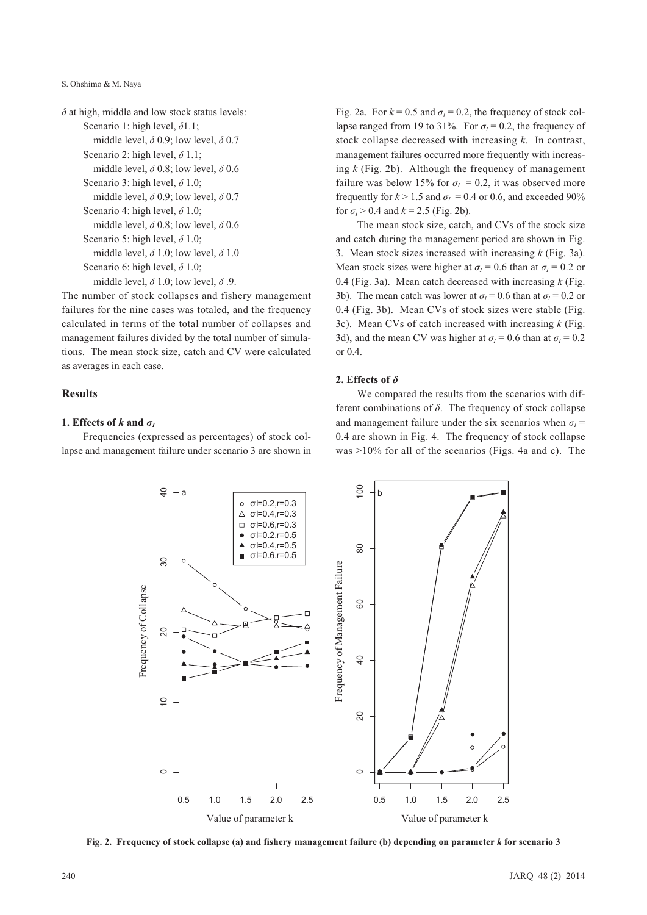S. Ohshimo & M. Naya

```
δ at high, middle and low stock status levels:
Scenario 1: high level, δ1.1; 
    middle level, δ 0.9; low level, δ 0.7
Scenario 2: high level, δ 1.1; 
    middle level, δ 0.8; low level, δ 0.6
Scenario 3: high level, δ 1.0; 
    middle level, δ 0.9; low level, δ 0.7
Scenario 4: high level, δ 1.0; 
    middle level, δ 0.8; low level, δ 0.6
Scenario 5: high level, δ 1.0; 
    middle level, δ 1.0; low level, δ 1.0
Scenario 6: high level, δ 1.0; 
    middle level, δ 1.0; low level, δ .9.
```
The number of stock collapses and fishery management failures for the nine cases was totaled, and the frequency calculated in terms of the total number of collapses and management failures divided by the total number of simulations. The mean stock size, catch and CV were calculated as averages in each case.

#### **Results**

#### **1.** Effects of *k* and  $\sigma$

Frequencies (expressed as percentages) of stock collapse and management failure under scenario 3 are shown in

Fig. 2a. For  $k = 0.5$  and  $\sigma_l = 0.2$ , the frequency of stock collapse ranged from 19 to 31%. For  $\sigma_1 = 0.2$ , the frequency of stock collapse decreased with increasing *k*. In contrast, management failures occurred more frequently with increasing *k* (Fig. 2b). Although the frequency of management failure was below 15% for  $\sigma$ <sup> $I$ </sup> = 0.2, it was observed more frequently for  $k > 1.5$  and  $\sigma_l = 0.4$  or 0.6, and exceeded 90% for  $\sigma$ <sub>*l*</sub> > 0.4 and *k* = 2.5 (Fig. 2b).

The mean stock size, catch, and CVs of the stock size and catch during the management period are shown in Fig. 3. Mean stock sizes increased with increasing *k* (Fig. 3a). Mean stock sizes were higher at  $\sigma$ <sup>*I*</sup> = 0.6 than at  $\sigma$ <sup>*I*</sup> = 0.2 or 0.4 (Fig. 3a). Mean catch decreased with increasing *k* (Fig. 3b). The mean catch was lower at  $\sigma_l$  = 0.6 than at  $\sigma_l$  = 0.2 or 0.4 (Fig. 3b). Mean CVs of stock sizes were stable (Fig. 3c). Mean CVs of catch increased with increasing *k* (Fig. 3d), and the mean CV was higher at  $\sigma_l$  = 0.6 than at  $\sigma_l$  = 0.2 or 0.4.

### **2. Effects of** *δ*

We compared the results from the scenarios with different combinations of *δ*. The frequency of stock collapse and management failure under the six scenarios when  $\sigma$ <sup>-</sup> 0.4 are shown in Fig. 4. The frequency of stock collapse was >10% for all of the scenarios (Figs. 4a and c). The



**Fig. 2. Frequency of stock collapse (a) and fishery management failure (b) depending on parameter** *k* **for scenario 3**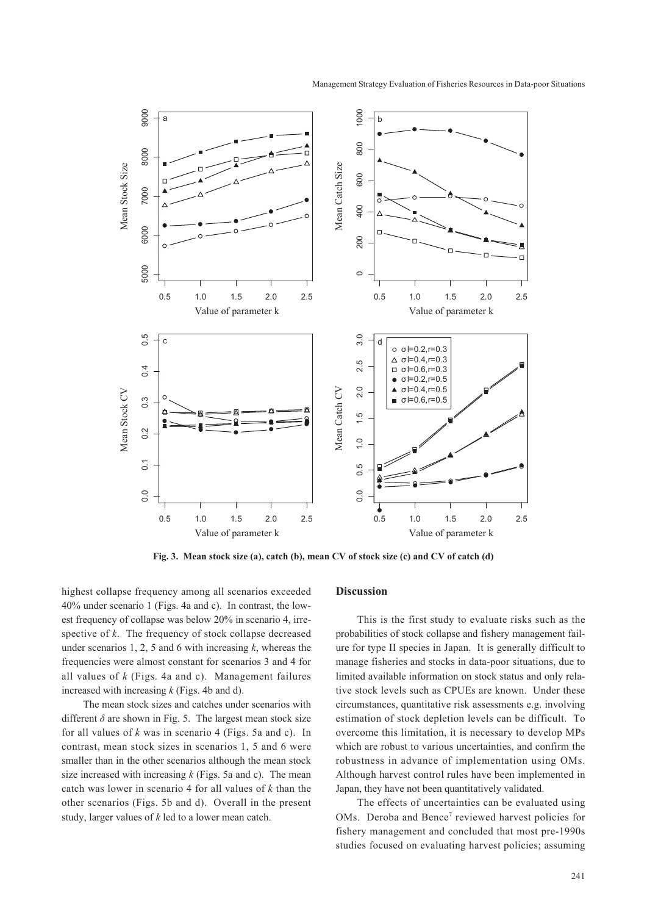

**Fig. 3. Mean stock size (a), catch (b), mean CV of stock size (c) and CV of catch (d)**

highest collapse frequency among all scenarios exceeded 40% under scenario 1 (Figs. 4a and c). In contrast, the lowest frequency of collapse was below 20% in scenario 4, irrespective of *k*. The frequency of stock collapse decreased under scenarios 1, 2, 5 and 6 with increasing *k*, whereas the frequencies were almost constant for scenarios 3 and 4 for all values of *k* (Figs. 4a and c). Management failures increased with increasing *k* (Figs. 4b and d).

The mean stock sizes and catches under scenarios with different  $\delta$  are shown in Fig. 5. The largest mean stock size for all values of *k* was in scenario 4 (Figs. 5a and c). In contrast, mean stock sizes in scenarios 1, 5 and 6 were smaller than in the other scenarios although the mean stock size increased with increasing *k* (Figs. 5a and c). The mean catch was lower in scenario 4 for all values of *k* than the other scenarios (Figs. 5b and d). Overall in the present study, larger values of *k* led to a lower mean catch.

#### **Discussion**

This is the first study to evaluate risks such as the probabilities of stock collapse and fishery management failure for type II species in Japan. It is generally difficult to manage fisheries and stocks in data-poor situations, due to limited available information on stock status and only relative stock levels such as CPUEs are known. Under these circumstances, quantitative risk assessments e.g. involving estimation of stock depletion levels can be difficult. To overcome this limitation, it is necessary to develop MPs which are robust to various uncertainties, and confirm the robustness in advance of implementation using OMs. Although harvest control rules have been implemented in Japan, they have not been quantitatively validated.

The effects of uncertainties can be evaluated using OMs. Deroba and Bence<sup>7</sup> reviewed harvest policies for fishery management and concluded that most pre-1990s studies focused on evaluating harvest policies; assuming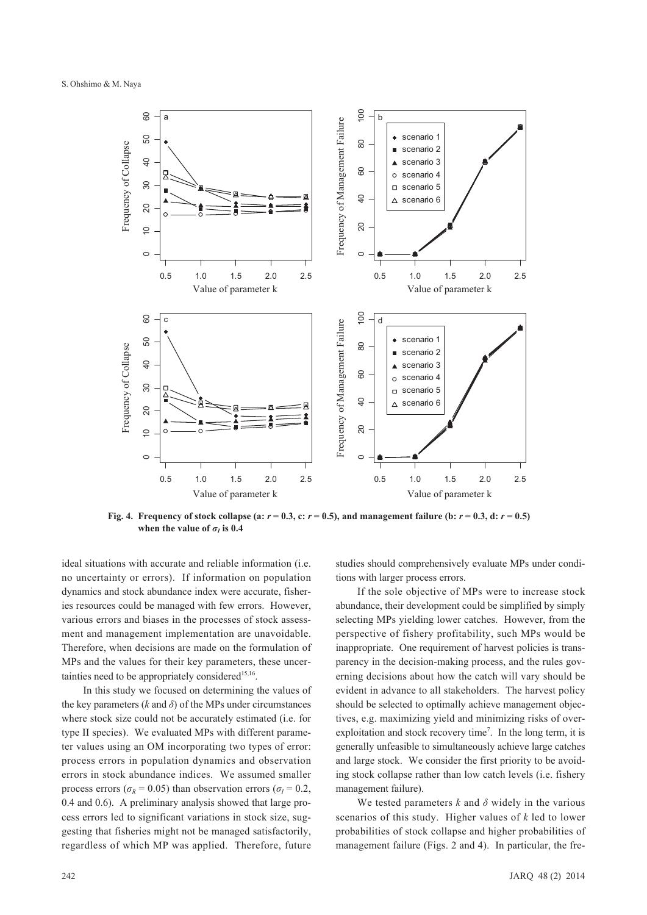

**Fig. 4.** Frequency of stock collapse (a:  $r = 0.3$ , c:  $r = 0.5$ ), and management failure (b:  $r = 0.3$ , d:  $r = 0.5$ ) **when the value of**  $\sigma$ **<sup>***I***</sup> is 0.4** 

ideal situations with accurate and reliable information (i.e. no uncertainty or errors). If information on population dynamics and stock abundance index were accurate, fisheries resources could be managed with few errors. However, various errors and biases in the processes of stock assessment and management implementation are unavoidable. Therefore, when decisions are made on the formulation of MPs and the values for their key parameters, these uncertainties need to be appropriately considered<sup>15,16</sup>.

In this study we focused on determining the values of the key parameters  $(k \text{ and } \delta)$  of the MPs under circumstances where stock size could not be accurately estimated (i.e. for type II species). We evaluated MPs with different parameter values using an OM incorporating two types of error: process errors in population dynamics and observation errors in stock abundance indices. We assumed smaller process errors ( $\sigma_R$  = 0.05) than observation errors ( $\sigma_I$  = 0.2, 0.4 and 0.6). A preliminary analysis showed that large process errors led to significant variations in stock size, suggesting that fisheries might not be managed satisfactorily, regardless of which MP was applied. Therefore, future

studies should comprehensively evaluate MPs under conditions with larger process errors.

If the sole objective of MPs were to increase stock abundance, their development could be simplified by simply selecting MPs yielding lower catches. However, from the perspective of fishery profitability, such MPs would be inappropriate. One requirement of harvest policies is transparency in the decision-making process, and the rules governing decisions about how the catch will vary should be evident in advance to all stakeholders. The harvest policy should be selected to optimally achieve management objectives, e.g. maximizing yield and minimizing risks of overexploitation and stock recovery time<sup>7</sup>. In the long term, it is generally unfeasible to simultaneously achieve large catches and large stock. We consider the first priority to be avoiding stock collapse rather than low catch levels (i.e. fishery management failure).

We tested parameters  $k$  and  $\delta$  widely in the various scenarios of this study. Higher values of *k* led to lower probabilities of stock collapse and higher probabilities of management failure (Figs. 2 and 4). In particular, the fre-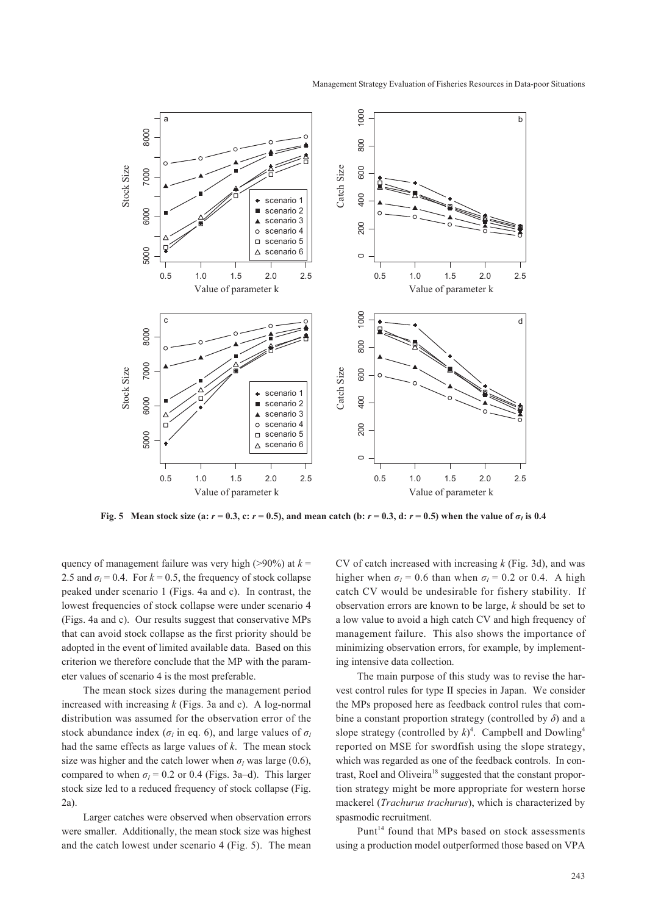

**Fig. 5** Mean stock size (a:  $r = 0.3$ , c:  $r = 0.5$ ), and mean catch (b:  $r = 0.3$ , d:  $r = 0.5$ ) when the value of  $\sigma<sub>l</sub>$  is 0.4

quency of management failure was very high ( $>90\%$ ) at  $k =$ 2.5 and  $\sigma$ <sup> $I$ </sup> = 0.4. For  $k$  = 0.5, the frequency of stock collapse peaked under scenario 1 (Figs. 4a and c). In contrast, the lowest frequencies of stock collapse were under scenario 4 (Figs. 4a and c). Our results suggest that conservative MPs that can avoid stock collapse as the first priority should be adopted in the event of limited available data. Based on this criterion we therefore conclude that the MP with the parameter values of scenario 4 is the most preferable.

The mean stock sizes during the management period increased with increasing *k* (Figs. 3a and c). A log-normal distribution was assumed for the observation error of the stock abundance index ( $\sigma$ <sup>*i*</sup> n eq. 6), and large values of  $\sigma$ <sup>*I*</sup> had the same effects as large values of *k*. The mean stock size was higher and the catch lower when  $\sigma$ <sup>*I*</sup> was large (0.6), compared to when  $\sigma$ <sup> $I$ </sup> = 0.2 or 0.4 (Figs. 3a–d). This larger stock size led to a reduced frequency of stock collapse (Fig. 2a).

Larger catches were observed when observation errors were smaller. Additionally, the mean stock size was highest and the catch lowest under scenario 4 (Fig. 5). The mean CV of catch increased with increasing *k* (Fig. 3d), and was higher when  $\sigma_l$  = 0.6 than when  $\sigma_l$  = 0.2 or 0.4. A high catch CV would be undesirable for fishery stability. If observation errors are known to be large, *k* should be set to a low value to avoid a high catch CV and high frequency of management failure. This also shows the importance of minimizing observation errors, for example, by implementing intensive data collection.

The main purpose of this study was to revise the harvest control rules for type II species in Japan. We consider the MPs proposed here as feedback control rules that combine a constant proportion strategy (controlled by *δ*) and a slope strategy (controlled by  $k$ <sup>4</sup>. Campbell and Dowling<sup>4</sup> reported on MSE for swordfish using the slope strategy, which was regarded as one of the feedback controls. In contrast, Roel and Oliveira<sup>18</sup> suggested that the constant proportion strategy might be more appropriate for western horse mackerel (*Trachurus trachurus*), which is characterized by spasmodic recruitment.

Punt $14$  found that MPs based on stock assessments using a production model outperformed those based on VPA